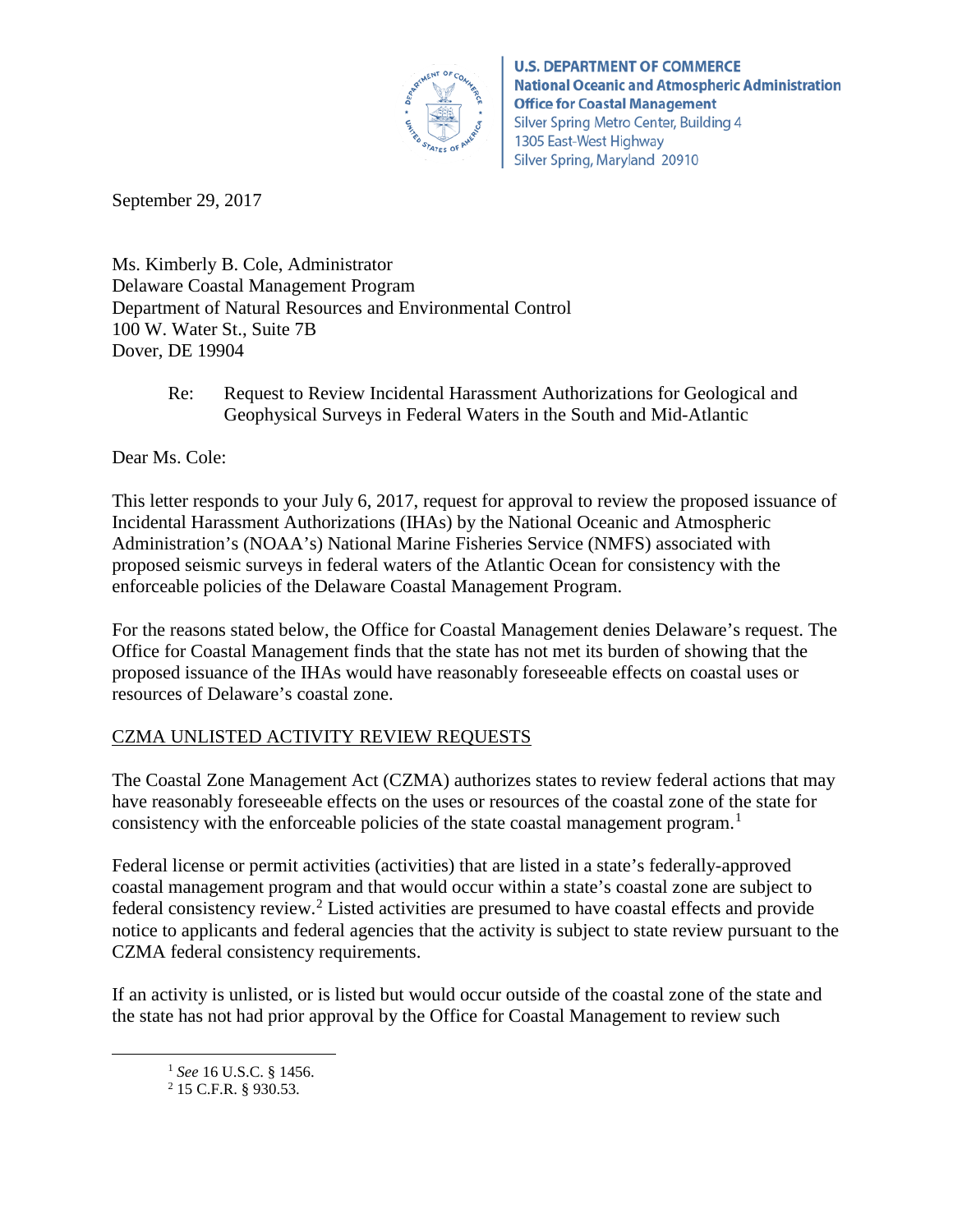

**U.S. DEPARTMENT OF COMMERCE National Oceanic and Atmospheric Administration Office for Coastal Management** Silver Spring Metro Center, Building 4 1305 East-West Highway Silver Spring, Maryland 20910

September 29, 2017

Ms. Kimberly B. Cole, Administrator Delaware Coastal Management Program Department of Natural Resources and Environmental Control 100 W. Water St., Suite 7B Dover, DE 19904

> Re: Request to Review Incidental Harassment Authorizations for Geological and Geophysical Surveys in Federal Waters in the South and Mid-Atlantic

Dear Ms. Cole:

This letter responds to your July 6, 2017, request for approval to review the proposed issuance of Incidental Harassment Authorizations (IHAs) by the National Oceanic and Atmospheric Administration's (NOAA's) National Marine Fisheries Service (NMFS) associated with proposed seismic surveys in federal waters of the Atlantic Ocean for consistency with the enforceable policies of the Delaware Coastal Management Program.

For the reasons stated below, the Office for Coastal Management denies Delaware's request. The Office for Coastal Management finds that the state has not met its burden of showing that the proposed issuance of the IHAs would have reasonably foreseeable effects on coastal uses or resources of Delaware's coastal zone.

# CZMA UNLISTED ACTIVITY REVIEW REQUESTS

The Coastal Zone Management Act (CZMA) authorizes states to review federal actions that may have reasonably foreseeable effects on the uses or resources of the coastal zone of the state for consistency with the enforceable policies of the state coastal management program.<sup>[1](#page-0-0)</sup>

Federal license or permit activities (activities) that are listed in a state's federally-approved coastal management program and that would occur within a state's coastal zone are subject to federal consistency review.[2](#page-0-1) Listed activities are presumed to have coastal effects and provide notice to applicants and federal agencies that the activity is subject to state review pursuant to the CZMA federal consistency requirements.

<span id="page-0-1"></span><span id="page-0-0"></span>If an activity is unlisted, or is listed but would occur outside of the coastal zone of the state and the state has not had prior approval by the Office for Coastal Management to review such

1 *See* 16 U.S.C. § 1456.

<sup>2</sup> 15 C.F.R. § 930.53.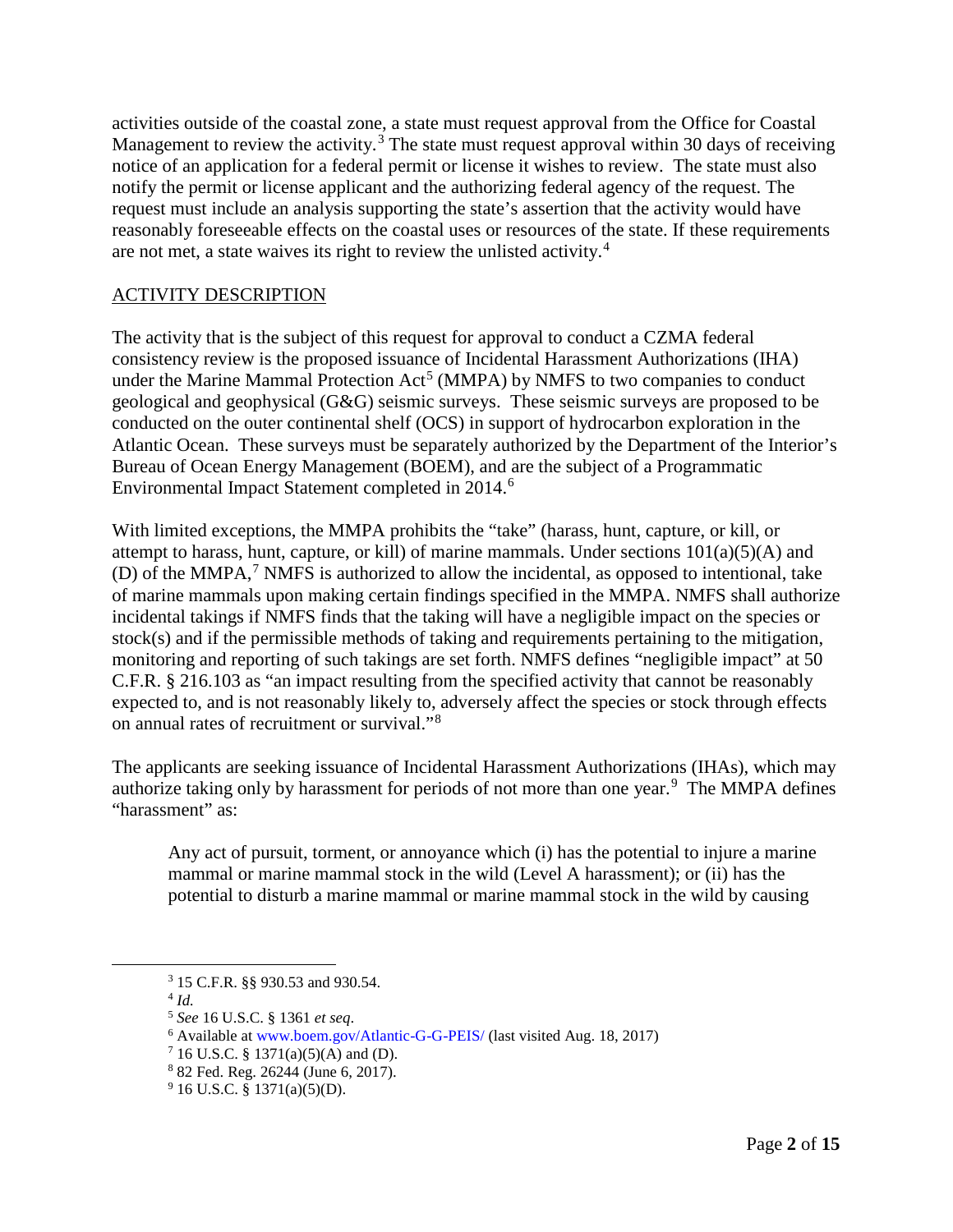activities outside of the coastal zone, a state must request approval from the Office for Coastal Management to review the activity.<sup>[3](#page-1-0)</sup> The state must request approval within 30 days of receiving notice of an application for a federal permit or license it wishes to review. The state must also notify the permit or license applicant and the authorizing federal agency of the request. The request must include an analysis supporting the state's assertion that the activity would have reasonably foreseeable effects on the coastal uses or resources of the state. If these requirements are not met, a state waives its right to review the unlisted activity.[4](#page-1-1)

#### ACTIVITY DESCRIPTION

The activity that is the subject of this request for approval to conduct a CZMA federal consistency review is the proposed issuance of Incidental Harassment Authorizations (IHA) under the Marine Mammal Protection  $Act^5$  $Act^5$  (MMPA) by NMFS to two companies to conduct geological and geophysical (G&G) seismic surveys. These seismic surveys are proposed to be conducted on the outer continental shelf (OCS) in support of hydrocarbon exploration in the Atlantic Ocean. These surveys must be separately authorized by the Department of the Interior's Bureau of Ocean Energy Management (BOEM), and are the subject of a Programmatic Environmental Impact Statement completed in 2014.<sup>[6](#page-1-3)</sup>

With limited exceptions, the MMPA prohibits the "take" (harass, hunt, capture, or kill, or attempt to harass, hunt, capture, or kill) of marine mammals. Under sections  $101(a)(5)(A)$  and (D) of the MMPA, [7](#page-1-4) NMFS is authorized to allow the incidental, as opposed to intentional, take of marine mammals upon making certain findings specified in the MMPA. NMFS shall authorize incidental takings if NMFS finds that the taking will have a negligible impact on the species or stock(s) and if the permissible methods of taking and requirements pertaining to the mitigation, monitoring and reporting of such takings are set forth. NMFS defines "negligible impact" at 50 C.F.R. § 216.103 as "an impact resulting from the specified activity that cannot be reasonably expected to, and is not reasonably likely to, adversely affect the species or stock through effects on annual rates of recruitment or survival."[8](#page-1-5)

The applicants are seeking issuance of Incidental Harassment Authorizations (IHAs), which may authorize taking only by harassment for periods of not more than one year.<sup>[9](#page-1-6)</sup> The MMPA defines "harassment" as:

Any act of pursuit, torment, or annoyance which (i) has the potential to injure a marine mammal or marine mammal stock in the wild (Level A harassment); or (ii) has the potential to disturb a marine mammal or marine mammal stock in the wild by causing

 <sup>3</sup> 15 C.F.R. §§ 930.53 and 930.54.

<span id="page-1-0"></span> $4$  *Id.* 

<span id="page-1-3"></span><span id="page-1-2"></span><span id="page-1-1"></span><sup>5</sup> *See* 16 U.S.C. § 1361 *et seq*.

<sup>6</sup> Available at [www.boem.gov/Atlantic-G-G-PEIS/](http://www.boem.gov/Atlantic-G-G-PEIS/) (last visited Aug. 18, 2017)

<span id="page-1-5"></span><span id="page-1-4"></span> $7$  16 U.S.C. § 1371(a)(5)(A) and (D).

<sup>8</sup> 82 Fed. Reg. 26244 (June 6, 2017).

<span id="page-1-6"></span> $9$  16 U.S.C. § 1371(a)(5)(D).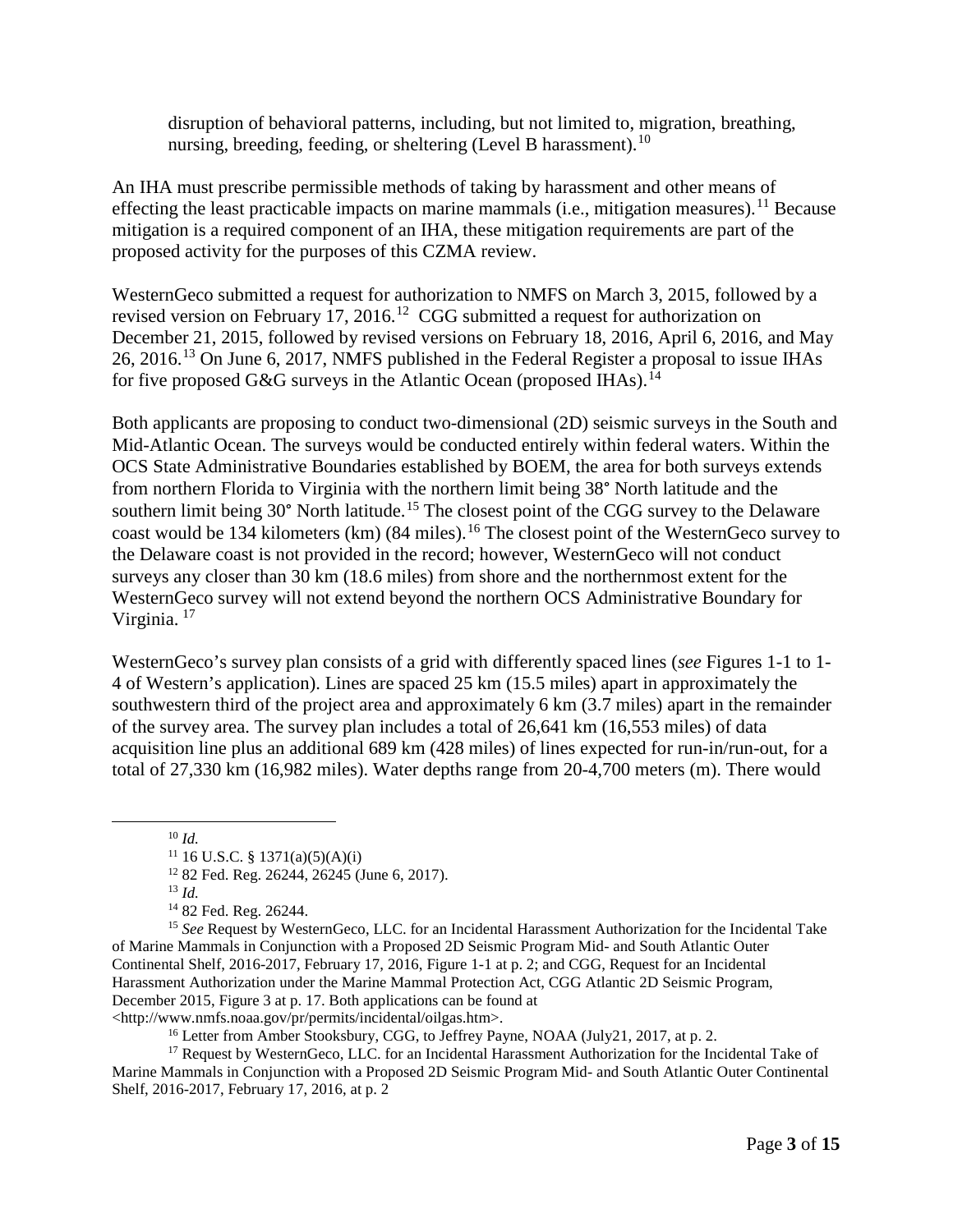disruption of behavioral patterns, including, but not limited to, migration, breathing, nursing, breeding, feeding, or sheltering (Level B harassment).[10](#page-2-0)

An IHA must prescribe permissible methods of taking by harassment and other means of effecting the least practicable impacts on marine mammals (i.e., mitigation measures).<sup>[11](#page-2-1)</sup> Because mitigation is a required component of an IHA, these mitigation requirements are part of the proposed activity for the purposes of this CZMA review.

WesternGeco submitted a request for authorization to NMFS on March 3, 2015, followed by a revised version on February 17, 2016.<sup>[12](#page-2-2)</sup> CGG submitted a request for authorization on December 21, 2015, followed by revised versions on February 18, 2016, April 6, 2016, and May 26, 2016.[13](#page-2-3) On June 6, 2017, NMFS published in the Federal Register a proposal to issue IHAs for five proposed G&G surveys in the Atlantic Ocean (proposed IHAs).<sup>[14](#page-2-4)</sup>

Both applicants are proposing to conduct two-dimensional (2D) seismic surveys in the South and Mid-Atlantic Ocean. The surveys would be conducted entirely within federal waters. Within the OCS State Administrative Boundaries established by BOEM, the area for both surveys extends from northern Florida to Virginia with the northern limit being 38° North latitude and the southern limit being 30° North latitude.<sup>[15](#page-2-5)</sup> The closest point of the CGG survey to the Delaware coast would be 134 kilometers (km) (84 miles).<sup>[16](#page-2-6)</sup> The closest point of the WesternGeco survey to the Delaware coast is not provided in the record; however, WesternGeco will not conduct surveys any closer than 30 km (18.6 miles) from shore and the northernmost extent for the WesternGeco survey will not extend beyond the northern OCS Administrative Boundary for Virginia. [17](#page-2-7)

WesternGeco's survey plan consists of a grid with differently spaced lines (*see* Figures 1-1 to 1- 4 of Western's application). Lines are spaced 25 km (15.5 miles) apart in approximately the southwestern third of the project area and approximately 6 km (3.7 miles) apart in the remainder of the survey area. The survey plan includes a total of 26,641 km (16,553 miles) of data acquisition line plus an additional 689 km (428 miles) of lines expected for run-in/run-out, for a total of 27,330 km (16,982 miles). Water depths range from 20-4,700 meters (m). There would

<span id="page-2-6"></span><http://www.nmfs.noaa.gov/pr/permits/incidental/oilgas.htm>.

<sup>16</sup> Letter from Amber Stooksbury, CGG, to Jeffrey Payne, NOAA (July21, 2017, at p. 2.

<span id="page-2-7"></span><sup>17</sup> Request by WesternGeco, LLC. for an Incidental Harassment Authorization for the Incidental Take of Marine Mammals in Conjunction with a Proposed 2D Seismic Program Mid- and South Atlantic Outer Continental Shelf, 2016-2017, February 17, 2016, at p. 2

<sup>&</sup>lt;sup>10</sup> *Id.* <sup>11</sup> 16 U.S.C. § 1371(a)(5)(A)(i)

<sup>&</sup>lt;sup>12</sup> 82 Fed. Reg. 26244, 26245 (June 6, 2017).

<sup>13</sup> *Id.*

<sup>14</sup> 82 Fed. Reg. 26244.

<span id="page-2-5"></span><span id="page-2-4"></span><span id="page-2-3"></span><span id="page-2-2"></span><span id="page-2-1"></span><span id="page-2-0"></span><sup>15</sup> *See* Request by WesternGeco, LLC. for an Incidental Harassment Authorization for the Incidental Take of Marine Mammals in Conjunction with a Proposed 2D Seismic Program Mid- and South Atlantic Outer Continental Shelf, 2016-2017, February 17, 2016, Figure 1-1 at p. 2; and CGG, Request for an Incidental Harassment Authorization under the Marine Mammal Protection Act, CGG Atlantic 2D Seismic Program, December 2015, Figure 3 at p. 17. Both applications can be found at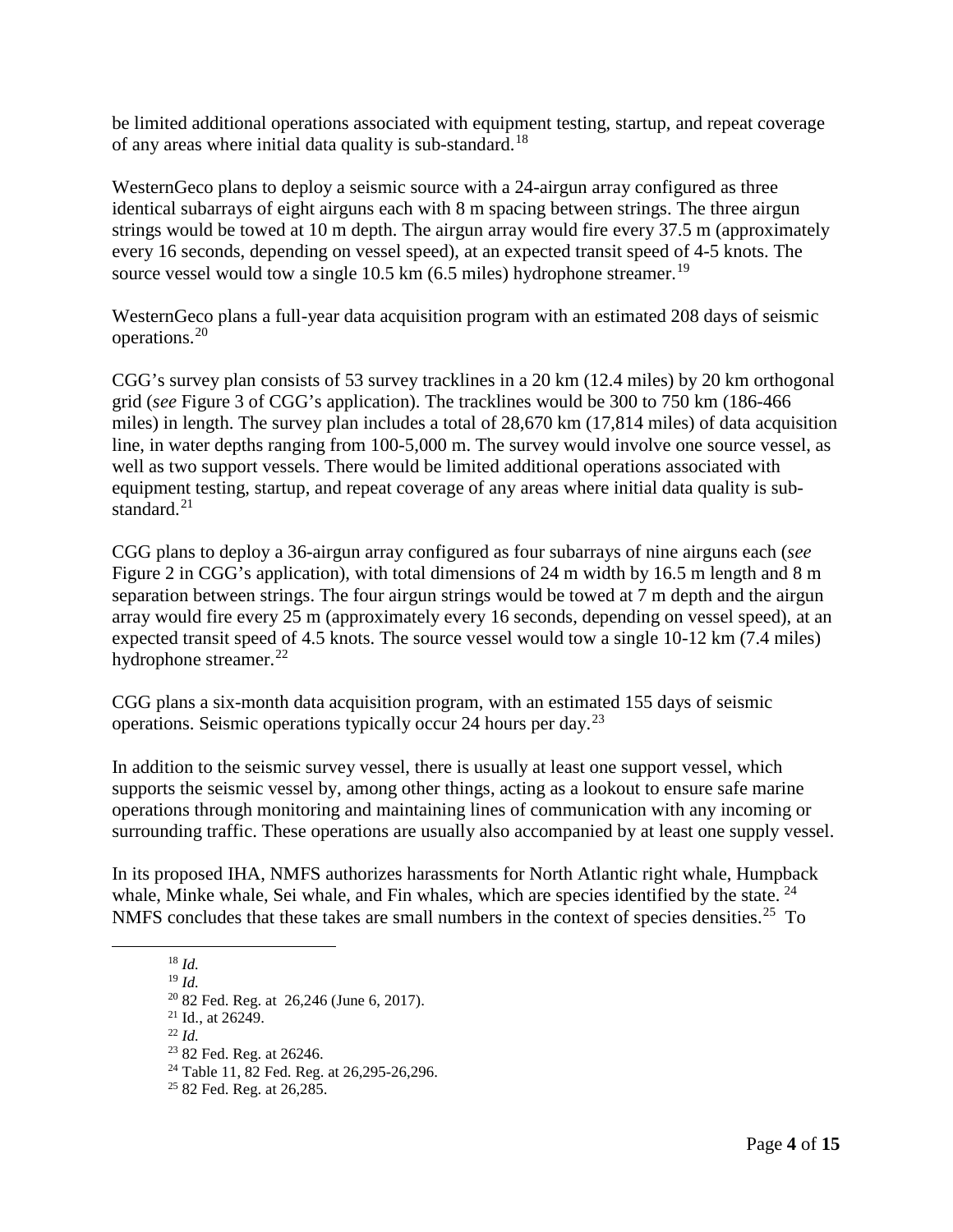be limited additional operations associated with equipment testing, startup, and repeat coverage of any areas where initial data quality is sub-standard.[18](#page-3-0)

WesternGeco plans to deploy a seismic source with a 24-airgun array configured as three identical subarrays of eight airguns each with 8 m spacing between strings. The three airgun strings would be towed at 10 m depth. The airgun array would fire every 37.5 m (approximately every 16 seconds, depending on vessel speed), at an expected transit speed of 4-5 knots. The source vessel would tow a single 10.5 km  $(6.5 \text{ miles})$  hydrophone streamer.<sup>[19](#page-3-1)</sup>

WesternGeco plans a full-year data acquisition program with an estimated 208 days of seismic operations.[20](#page-3-2)

CGG's survey plan consists of 53 survey tracklines in a 20 km (12.4 miles) by 20 km orthogonal grid (*see* Figure 3 of CGG's application). The tracklines would be 300 to 750 km (186-466 miles) in length. The survey plan includes a total of 28,670 km (17,814 miles) of data acquisition line, in water depths ranging from 100-5,000 m. The survey would involve one source vessel, as well as two support vessels. There would be limited additional operations associated with equipment testing, startup, and repeat coverage of any areas where initial data quality is substandard. $^{21}$  $^{21}$  $^{21}$ 

CGG plans to deploy a 36-airgun array configured as four subarrays of nine airguns each (*see* Figure 2 in CGG's application), with total dimensions of 24 m width by 16.5 m length and 8 m separation between strings. The four airgun strings would be towed at 7 m depth and the airgun array would fire every 25 m (approximately every 16 seconds, depending on vessel speed), at an expected transit speed of 4.5 knots. The source vessel would tow a single 10-12 km (7.4 miles) hydrophone streamer. $^{22}$  $^{22}$  $^{22}$ 

CGG plans a six-month data acquisition program, with an estimated 155 days of seismic operations. Seismic operations typically occur 24 hours per day.[23](#page-3-5)

In addition to the seismic survey vessel, there is usually at least one support vessel, which supports the seismic vessel by, among other things, acting as a lookout to ensure safe marine operations through monitoring and maintaining lines of communication with any incoming or surrounding traffic. These operations are usually also accompanied by at least one supply vessel.

<span id="page-3-1"></span><span id="page-3-0"></span>In its proposed IHA, NMFS authorizes harassments for North Atlantic right whale, Humpback whale, Minke whale, Sei whale, and Fin whales, which are species identified by the state. <sup>[24](#page-3-6)</sup> NMFS concludes that these takes are small numbers in the context of species densities.<sup>25</sup> To

#### 18 *Id.*

- <sup>19</sup> *Id.*
- $20$  82 Fed. Reg. at 26,246 (June 6, 2017).
- <span id="page-3-3"></span><span id="page-3-2"></span><sup>21</sup> Id., at 26249.
- <span id="page-3-4"></span><sup>22</sup> *Id.*
- <sup>23</sup> 82 Fed. Reg. at 26246.
- <span id="page-3-7"></span><span id="page-3-6"></span><span id="page-3-5"></span><sup>24</sup> Table 11, 82 Fed. Reg. at 26,295-26,296.
- <sup>25</sup> 82 Fed. Reg. at 26,285.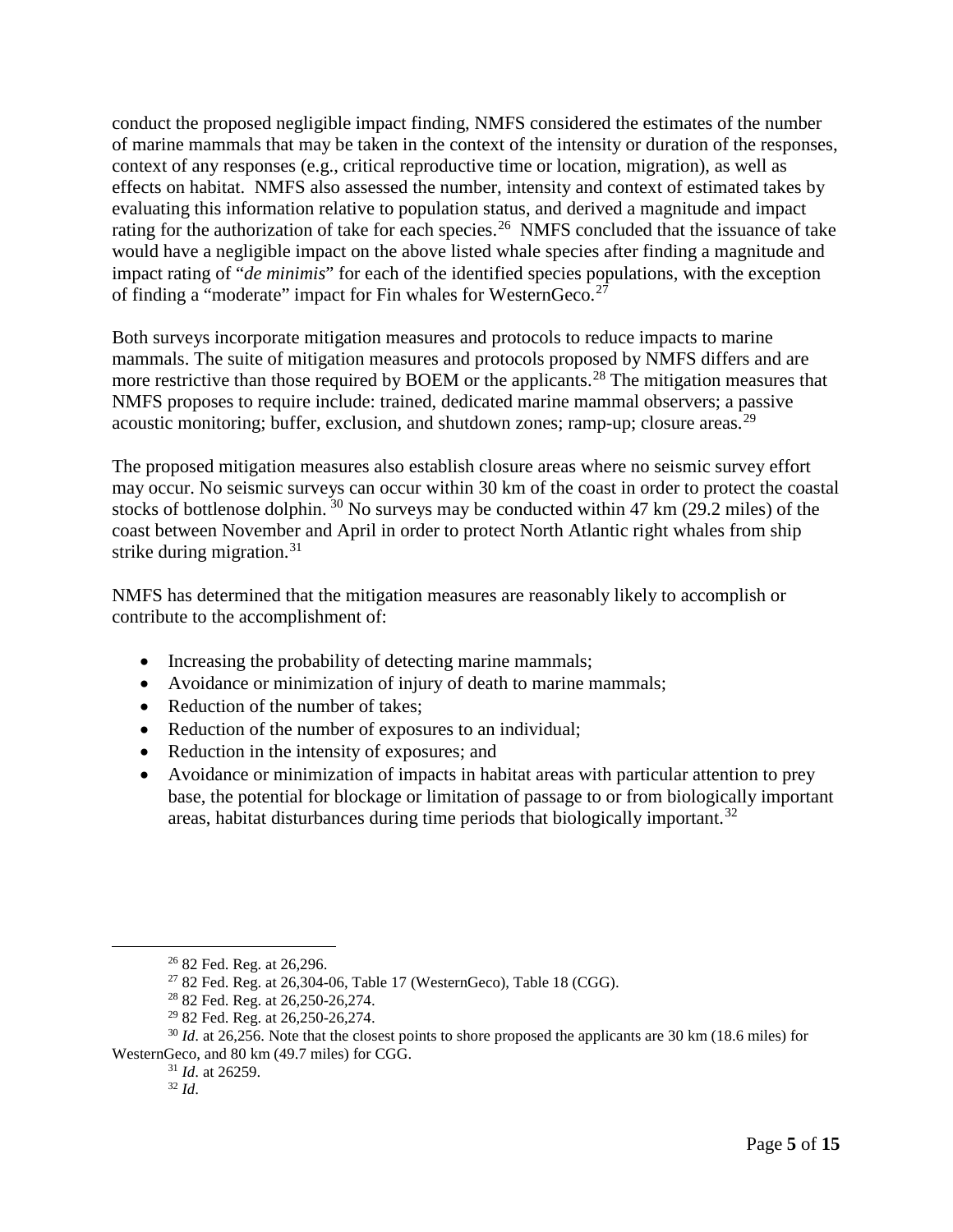conduct the proposed negligible impact finding, NMFS considered the estimates of the number of marine mammals that may be taken in the context of the intensity or duration of the responses, context of any responses (e.g., critical reproductive time or location, migration), as well as effects on habitat. NMFS also assessed the number, intensity and context of estimated takes by evaluating this information relative to population status, and derived a magnitude and impact rating for the authorization of take for each species.<sup>[26](#page-4-0)</sup> NMFS concluded that the issuance of take would have a negligible impact on the above listed whale species after finding a magnitude and impact rating of "*de minimis*" for each of the identified species populations, with the exception of finding a "moderate" impact for Fin whales for WesternGeco.<sup>[27](#page-4-1)</sup>

Both surveys incorporate mitigation measures and protocols to reduce impacts to marine mammals. The suite of mitigation measures and protocols proposed by NMFS differs and are more restrictive than those required by BOEM or the applicants.<sup>[28](#page-4-2)</sup> The mitigation measures that NMFS proposes to require include: trained, dedicated marine mammal observers; a passive acoustic monitoring; buffer, exclusion, and shutdown zones; ramp-up; closure areas.<sup>[29](#page-4-3)</sup>

The proposed mitigation measures also establish closure areas where no seismic survey effort may occur. No seismic surveys can occur within 30 km of the coast in order to protect the coastal stocks of bottlenose dolphin.  $30$  No surveys may be conducted within 47 km (29.2 miles) of the coast between November and April in order to protect North Atlantic right whales from ship strike during migration. $31$ 

NMFS has determined that the mitigation measures are reasonably likely to accomplish or contribute to the accomplishment of:

- Increasing the probability of detecting marine mammals;
- Avoidance or minimization of injury of death to marine mammals;
- Reduction of the number of takes;
- Reduction of the number of exposures to an individual;
- Reduction in the intensity of exposures; and
- Avoidance or minimization of impacts in habitat areas with particular attention to prey base, the potential for blockage or limitation of passage to or from biologically important areas, habitat disturbances during time periods that biologically important.<sup>[32](#page-4-6)</sup>

 <sup>26</sup> 82 Fed. Reg. at 26,296.

 $2782$  Fed. Reg. at 26,304-06, Table 17 (WesternGeco), Table 18 (CGG).

<sup>28</sup> 82 Fed. Reg. at 26,250-26,274.

<sup>29</sup> 82 Fed. Reg. at 26,250-26,274.

<span id="page-4-6"></span><span id="page-4-5"></span><span id="page-4-4"></span><span id="page-4-3"></span><span id="page-4-2"></span><span id="page-4-1"></span><span id="page-4-0"></span><sup>&</sup>lt;sup>30</sup> *Id.* at 26,256. Note that the closest points to shore proposed the applicants are 30 km (18.6 miles) for WesternGeco, and 80 km (49.7 miles) for CGG.

<sup>31</sup> *Id*. at 26259.

<sup>32</sup> *Id*.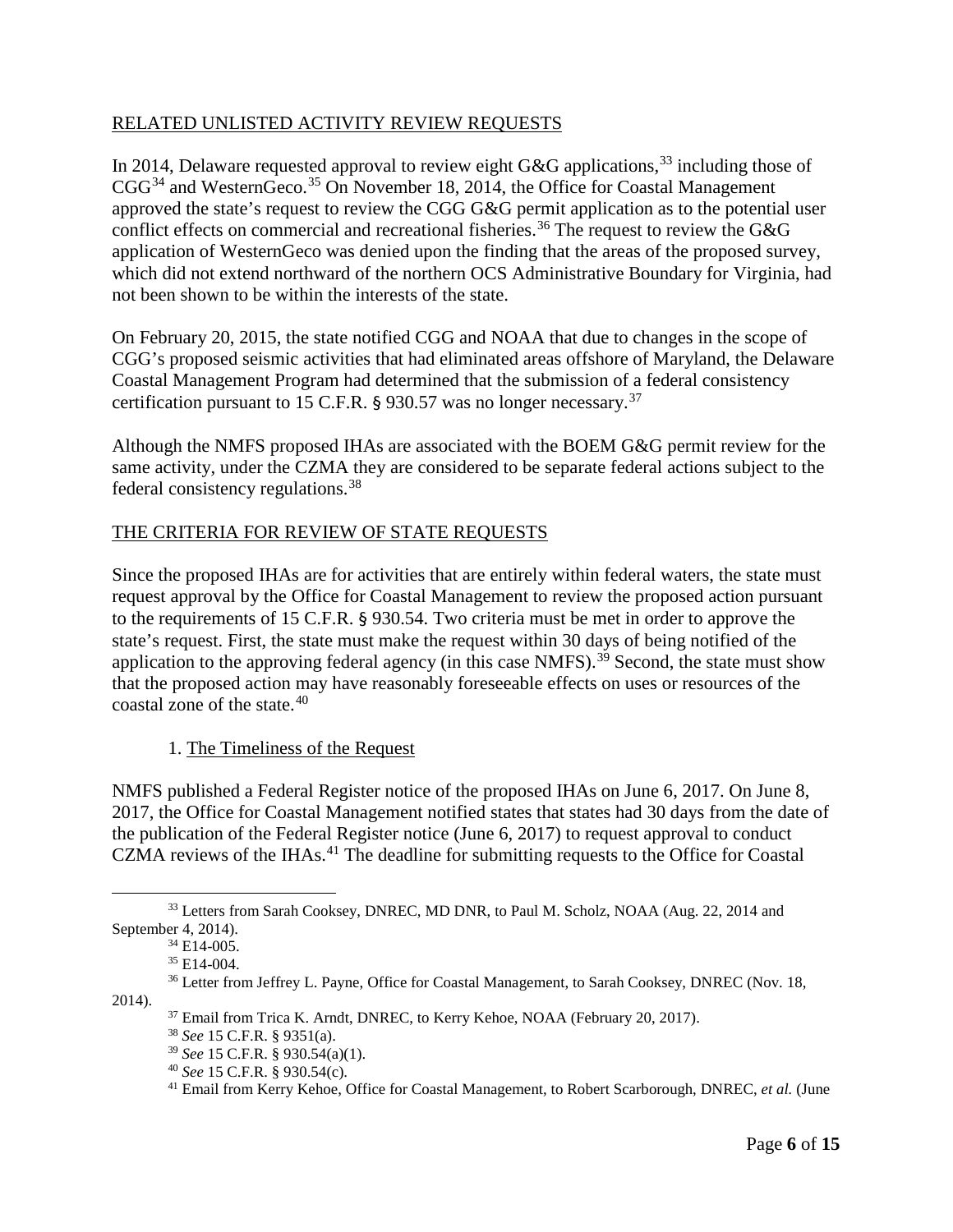#### RELATED UNLISTED ACTIVITY REVIEW REQUESTS

In 2014, Delaware requested approval to review eight G&G applications,  $33$  including those of  $CGG<sup>34</sup>$  $CGG<sup>34</sup>$  $CGG<sup>34</sup>$  and WesternGeco.<sup>[35](#page-5-2)</sup> On November 18, 2014, the Office for Coastal Management approved the state's request to review the CGG G&G permit application as to the potential user conflict effects on commercial and recreational fisheries.<sup>[36](#page-5-3)</sup> The request to review the G&G application of WesternGeco was denied upon the finding that the areas of the proposed survey, which did not extend northward of the northern OCS Administrative Boundary for Virginia, had not been shown to be within the interests of the state.

On February 20, 2015, the state notified CGG and NOAA that due to changes in the scope of CGG's proposed seismic activities that had eliminated areas offshore of Maryland, the Delaware Coastal Management Program had determined that the submission of a federal consistency certification pursuant to 15 C.F.R. § 930.57 was no longer necessary.<sup>[37](#page-5-4)</sup>

Although the NMFS proposed IHAs are associated with the BOEM G&G permit review for the same activity, under the CZMA they are considered to be separate federal actions subject to the federal consistency regulations.[38](#page-5-5)

## THE CRITERIA FOR REVIEW OF STATE REQUESTS

Since the proposed IHAs are for activities that are entirely within federal waters, the state must request approval by the Office for Coastal Management to review the proposed action pursuant to the requirements of 15 C.F.R. § 930.54. Two criteria must be met in order to approve the state's request. First, the state must make the request within 30 days of being notified of the application to the approving federal agency (in this case NMFS).<sup>[39](#page-5-6)</sup> Second, the state must show that the proposed action may have reasonably foreseeable effects on uses or resources of the coastal zone of the state. $40$ 

## 1. The Timeliness of the Request

NMFS published a Federal Register notice of the proposed IHAs on June 6, 2017. On June 8, 2017, the Office for Coastal Management notified states that states had 30 days from the date of the publication of the Federal Register notice (June 6, 2017) to request approval to conduct CZMA reviews of the IHAs.<sup>[41](#page-5-8)</sup> The deadline for submitting requests to the Office for Coastal

<sup>37</sup> Email from Trica K. Arndt, DNREC, to Kerry Kehoe, NOAA (February 20, 2017).

<sup>41</sup> Email from Kerry Kehoe, Office for Coastal Management, to Robert Scarborough, DNREC, *et al.* (June

<span id="page-5-1"></span><span id="page-5-0"></span> <sup>33</sup> Letters from Sarah Cooksey, DNREC, MD DNR, to Paul M. Scholz, NOAA (Aug. 22, 2014 and September 4, 2014).

<sup>34</sup> E14-005.

<sup>&</sup>lt;sup>35</sup> E14-004.

<span id="page-5-8"></span><span id="page-5-7"></span><span id="page-5-6"></span><span id="page-5-5"></span><span id="page-5-4"></span><span id="page-5-3"></span><span id="page-5-2"></span><sup>36</sup> Letter from Jeffrey L. Payne, Office for Coastal Management, to Sarah Cooksey, DNREC (Nov. 18, 2014).

<sup>38</sup> *See* 15 C.F.R. § 9351(a).

<sup>39</sup> *See* 15 C.F.R. § 930.54(a)(1).

<sup>40</sup> *See* 15 C.F.R. § 930.54(c).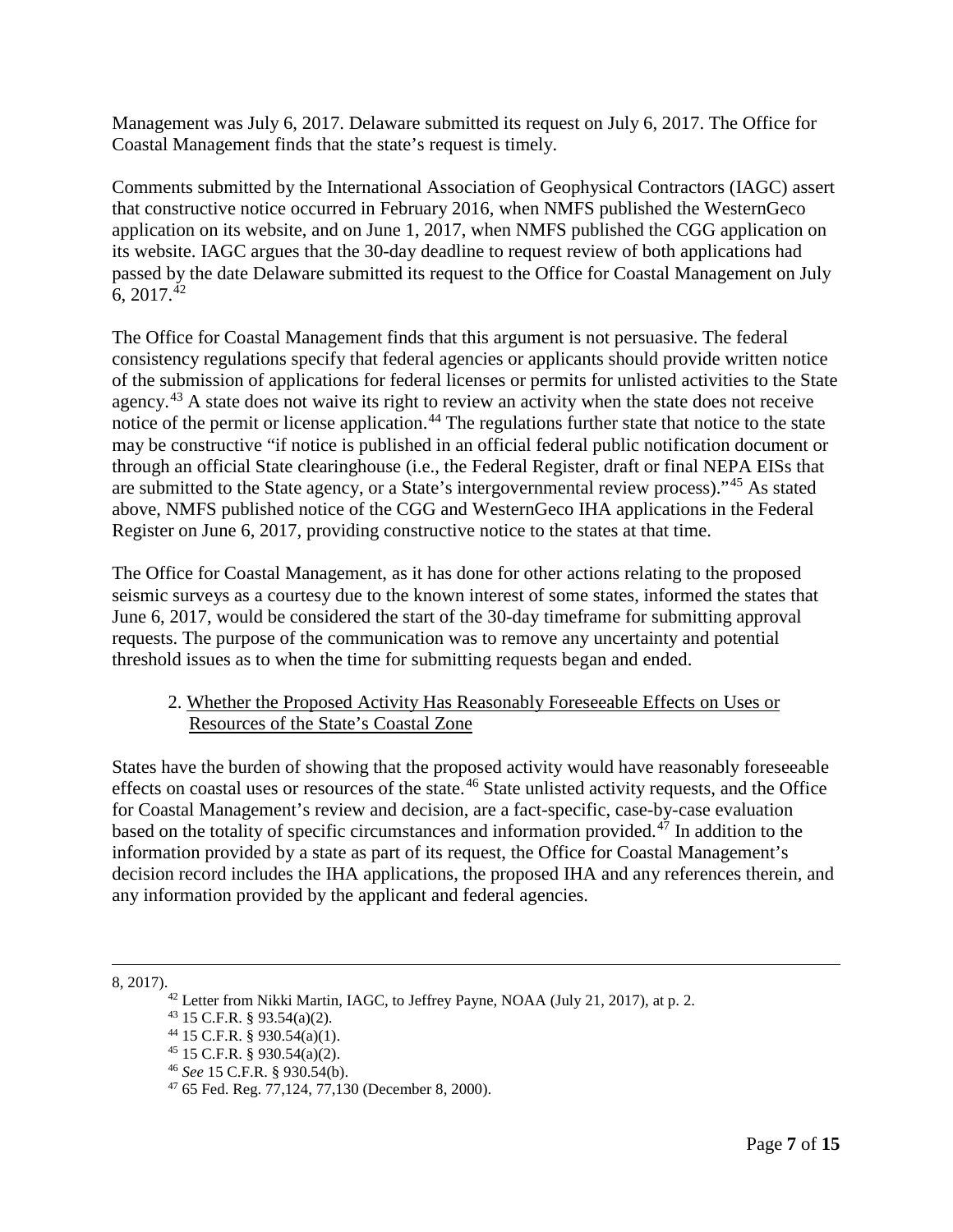Management was July 6, 2017. Delaware submitted its request on July 6, 2017. The Office for Coastal Management finds that the state's request is timely.

Comments submitted by the International Association of Geophysical Contractors (IAGC) assert that constructive notice occurred in February 2016, when NMFS published the WesternGeco application on its website, and on June 1, 2017, when NMFS published the CGG application on its website. IAGC argues that the 30-day deadline to request review of both applications had passed by the date Delaware submitted its request to the Office for Coastal Management on July 6,  $2017<sup>42</sup>$  $2017<sup>42</sup>$  $2017<sup>42</sup>$ 

The Office for Coastal Management finds that this argument is not persuasive. The federal consistency regulations specify that federal agencies or applicants should provide written notice of the submission of applications for federal licenses or permits for unlisted activities to the State agency.<sup>[43](#page-6-1)</sup> A state does not waive its right to review an activity when the state does not receive notice of the permit or license application.<sup>[44](#page-6-2)</sup> The regulations further state that notice to the state may be constructive "if notice is published in an official federal public notification document or through an official State clearinghouse (i.e., the Federal Register, draft or final NEPA EISs that are submitted to the State agency, or a State's intergovernmental review process)."[45](#page-6-3) As stated above, NMFS published notice of the CGG and WesternGeco IHA applications in the Federal Register on June 6, 2017, providing constructive notice to the states at that time.

The Office for Coastal Management, as it has done for other actions relating to the proposed seismic surveys as a courtesy due to the known interest of some states, informed the states that June 6, 2017, would be considered the start of the 30-day timeframe for submitting approval requests. The purpose of the communication was to remove any uncertainty and potential threshold issues as to when the time for submitting requests began and ended.

## 2. Whether the Proposed Activity Has Reasonably Foreseeable Effects on Uses or Resources of the State's Coastal Zone

States have the burden of showing that the proposed activity would have reasonably foreseeable effects on coastal uses or resources of the state.<sup>[46](#page-6-4)</sup> State unlisted activity requests, and the Office for Coastal Management's review and decision, are a fact-specific, case-by-case evaluation based on the totality of specific circumstances and information provided. $4<sup>7</sup>$  In addition to the information provided by a state as part of its request, the Office for Coastal Management's decision record includes the IHA applications, the proposed IHA and any references therein, and any information provided by the applicant and federal agencies.

<span id="page-6-5"></span><span id="page-6-4"></span><span id="page-6-3"></span><span id="page-6-2"></span><span id="page-6-1"></span><span id="page-6-0"></span><sup>8, 2017).&</sup>lt;br><sup>42</sup> Letter from Nikki Martin, IAGC, to Jeffrey Payne, NOAA (July 21, 2017), at p. 2.

<sup>43</sup> 15 C.F.R. § 93.54(a)(2).

<sup>44</sup> 15 C.F.R. § 930.54(a)(1).

<sup>45</sup> 15 C.F.R. § 930.54(a)(2).

<sup>46</sup> *See* 15 C.F.R. § 930.54(b).

 $47,65$  Fed. Reg.  $77,124,77,130$  (December 8, 2000).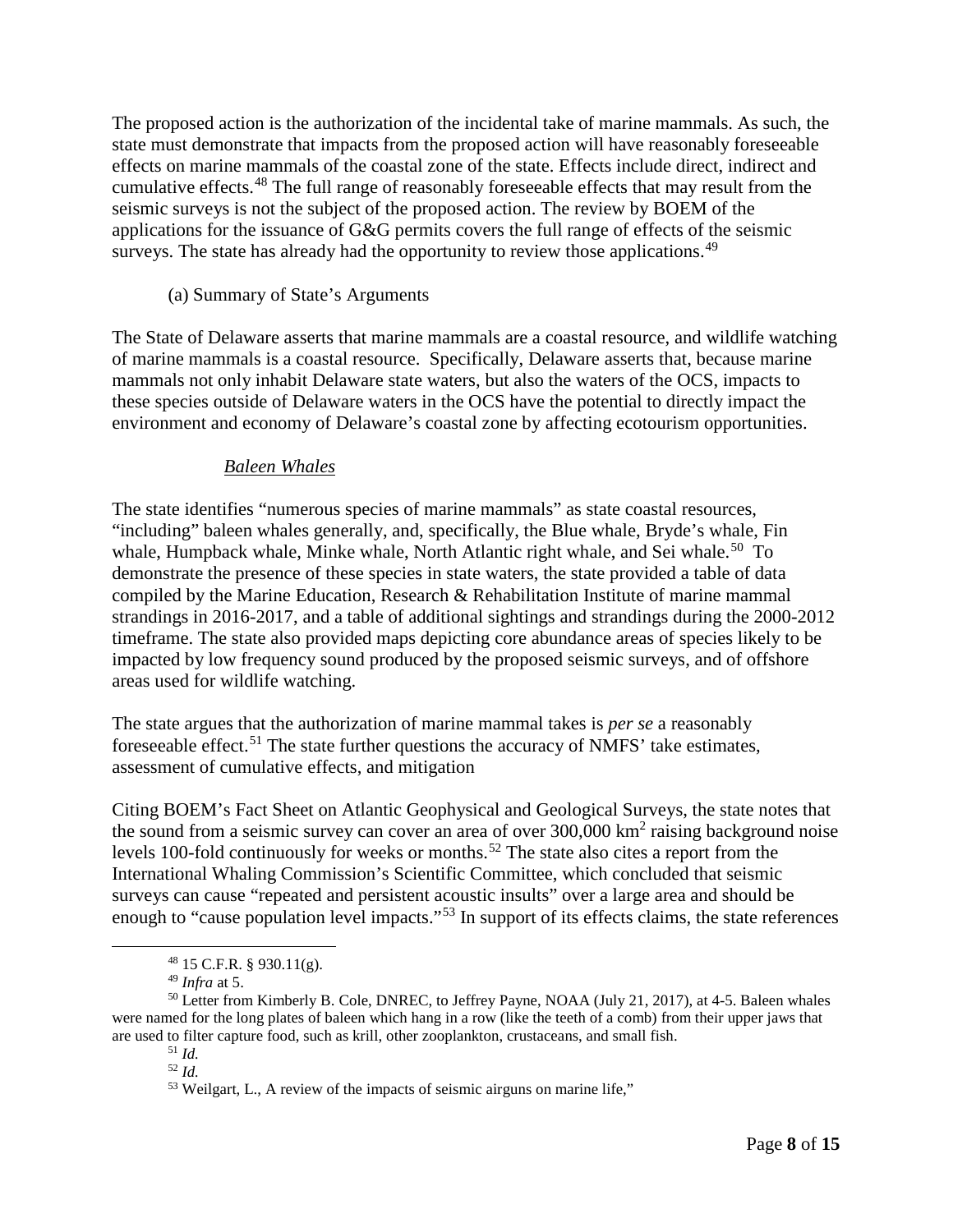The proposed action is the authorization of the incidental take of marine mammals. As such, the state must demonstrate that impacts from the proposed action will have reasonably foreseeable effects on marine mammals of the coastal zone of the state. Effects include direct, indirect and cumulative effects.[48](#page-7-0) The full range of reasonably foreseeable effects that may result from the seismic surveys is not the subject of the proposed action. The review by BOEM of the applications for the issuance of G&G permits covers the full range of effects of the seismic surveys. The state has already had the opportunity to review those applications.<sup>[49](#page-7-1)</sup>

(a) Summary of State's Arguments

The State of Delaware asserts that marine mammals are a coastal resource, and wildlife watching of marine mammals is a coastal resource. Specifically, Delaware asserts that, because marine mammals not only inhabit Delaware state waters, but also the waters of the OCS, impacts to these species outside of Delaware waters in the OCS have the potential to directly impact the environment and economy of Delaware's coastal zone by affecting ecotourism opportunities.

## *Baleen Whales*

The state identifies "numerous species of marine mammals" as state coastal resources, "including" baleen whales generally, and, specifically, the Blue whale, Bryde's whale, Fin whale, Humpback whale, Minke whale, North Atlantic right whale, and Sei whale.<sup>50</sup> To demonstrate the presence of these species in state waters, the state provided a table of data compiled by the Marine Education, Research & Rehabilitation Institute of marine mammal strandings in 2016-2017, and a table of additional sightings and strandings during the 2000-2012 timeframe. The state also provided maps depicting core abundance areas of species likely to be impacted by low frequency sound produced by the proposed seismic surveys, and of offshore areas used for wildlife watching.

The state argues that the authorization of marine mammal takes is *per se* a reasonably foreseeable effect.<sup>[51](#page-7-3)</sup> The state further questions the accuracy of NMFS' take estimates, assessment of cumulative effects, and mitigation

Citing BOEM's Fact Sheet on Atlantic Geophysical and Geological Surveys, the state notes that the sound from a seismic survey can cover an area of over  $300,000 \text{ km}^2$  raising background noise levels 100-fold continuously for weeks or months.<sup>[52](#page-7-4)</sup> The state also cites a report from the International Whaling Commission's Scientific Committee, which concluded that seismic surveys can cause "repeated and persistent acoustic insults" over a large area and should be enough to "cause population level impacts."[53](#page-7-5) In support of its effects claims, the state references

 <sup>48</sup> 15 C.F.R. § 930.11(g).

<sup>49</sup> *Infra* at 5.

<span id="page-7-5"></span><span id="page-7-4"></span><span id="page-7-3"></span><span id="page-7-2"></span><span id="page-7-1"></span><span id="page-7-0"></span><sup>&</sup>lt;sup>50</sup> Letter from Kimberly B. Cole, DNREC, to Jeffrey Payne, NOAA (July 21, 2017), at 4-5. Baleen whales were named for the long plates of baleen which hang in a row (like the teeth of a comb) from their upper jaws that are used to filter capture food, such as krill, other zooplankton, crustaceans, and small fish. 51 *Id.*

<sup>52</sup> *Id.*

<sup>53</sup> Weilgart, L., A review of the impacts of seismic airguns on marine life,"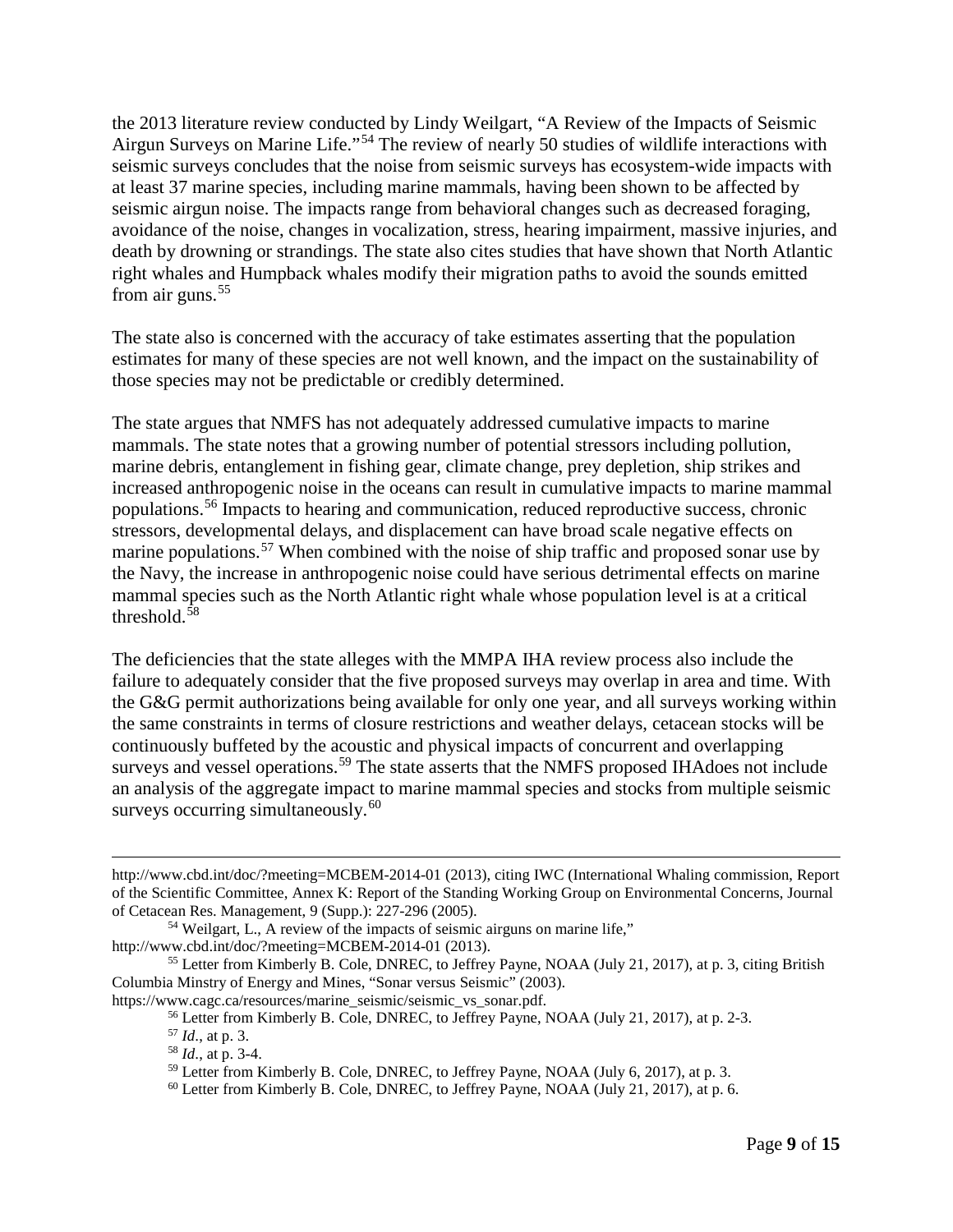the 2013 literature review conducted by Lindy Weilgart, "A Review of the Impacts of Seismic Airgun Surveys on Marine Life."[54](#page-8-0) The review of nearly 50 studies of wildlife interactions with seismic surveys concludes that the noise from seismic surveys has ecosystem-wide impacts with at least 37 marine species, including marine mammals, having been shown to be affected by seismic airgun noise. The impacts range from behavioral changes such as decreased foraging, avoidance of the noise, changes in vocalization, stress, hearing impairment, massive injuries, and death by drowning or strandings. The state also cites studies that have shown that North Atlantic right whales and Humpback whales modify their migration paths to avoid the sounds emitted from air guns. $55$ 

The state also is concerned with the accuracy of take estimates asserting that the population estimates for many of these species are not well known, and the impact on the sustainability of those species may not be predictable or credibly determined.

The state argues that NMFS has not adequately addressed cumulative impacts to marine mammals. The state notes that a growing number of potential stressors including pollution, marine debris, entanglement in fishing gear, climate change, prey depletion, ship strikes and increased anthropogenic noise in the oceans can result in cumulative impacts to marine mammal populations.[56](#page-8-2) Impacts to hearing and communication, reduced reproductive success, chronic stressors, developmental delays, and displacement can have broad scale negative effects on marine populations.<sup>[57](#page-8-3)</sup> When combined with the noise of ship traffic and proposed sonar use by the Navy, the increase in anthropogenic noise could have serious detrimental effects on marine mammal species such as the North Atlantic right whale whose population level is at a critical threshold.[58](#page-8-4)

The deficiencies that the state alleges with the MMPA IHA review process also include the failure to adequately consider that the five proposed surveys may overlap in area and time. With the G&G permit authorizations being available for only one year, and all surveys working within the same constraints in terms of closure restrictions and weather delays, cetacean stocks will be continuously buffeted by the acoustic and physical impacts of concurrent and overlapping surveys and vessel operations.<sup>[59](#page-8-5)</sup> The state asserts that the NMFS proposed IHAdoes not include an analysis of the aggregate impact to marine mammal species and stocks from multiple seismic surveys occurring simultaneously.<sup>[60](#page-8-6)</sup>

http://www.cbd.int/doc/?meeting=MCBEM-2014-01 (2013), citing IWC (International Whaling commission, Report of the Scientific Committee, Annex K: Report of the Standing Working Group on Environmental Concerns, Journal of Cetacean Res. Management, 9 (Supp.): 227-296 (2005).

<span id="page-8-0"></span><sup>54</sup> Weilgart, L., A review of the impacts of seismic airguns on marine life," http://www.cbd.int/doc/?meeting=MCBEM-2014-01 (2013).

<span id="page-8-1"></span><sup>55</sup> Letter from Kimberly B. Cole, DNREC, to Jeffrey Payne, NOAA (July 21, 2017), at p. 3, citing British Columbia Minstry of Energy and Mines, "Sonar versus Seismic" (2003).

<span id="page-8-6"></span><span id="page-8-5"></span><span id="page-8-4"></span><span id="page-8-3"></span><span id="page-8-2"></span>https://www.cagc.ca/resources/marine\_seismic/seismic\_vs\_sonar.pdf.

<sup>56</sup> Letter from Kimberly B. Cole, DNREC, to Jeffrey Payne, NOAA (July 21, 2017), at p. 2-3.

<sup>57</sup> *Id*., at p. 3.

<sup>58</sup> *Id*., at p. 3-4.

<sup>59</sup> Letter from Kimberly B. Cole, DNREC, to Jeffrey Payne, NOAA (July 6, 2017), at p. 3.

 $60$  Letter from Kimberly B. Cole, DNREC, to Jeffrey Payne, NOAA (July 21, 2017), at p. 6.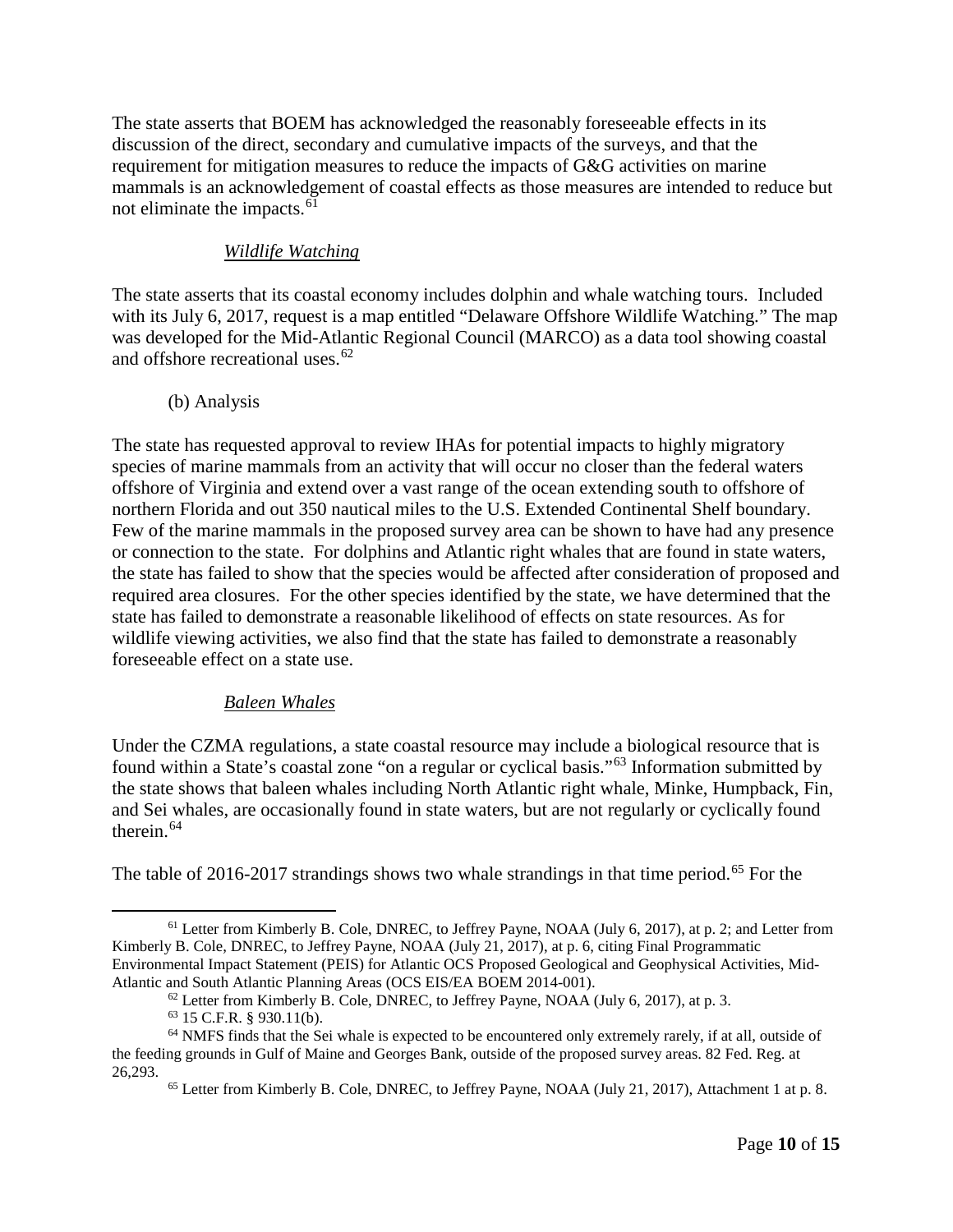The state asserts that BOEM has acknowledged the reasonably foreseeable effects in its discussion of the direct, secondary and cumulative impacts of the surveys, and that the requirement for mitigation measures to reduce the impacts of G&G activities on marine mammals is an acknowledgement of coastal effects as those measures are intended to reduce but not eliminate the impacts.  $61$ 

## *Wildlife Watching*

The state asserts that its coastal economy includes dolphin and whale watching tours. Included with its July 6, 2017, request is a map entitled "Delaware Offshore Wildlife Watching." The map was developed for the Mid-Atlantic Regional Council (MARCO) as a data tool showing coastal and offshore recreational uses.<sup>[62](#page-9-1)</sup>

(b) Analysis

The state has requested approval to review IHAs for potential impacts to highly migratory species of marine mammals from an activity that will occur no closer than the federal waters offshore of Virginia and extend over a vast range of the ocean extending south to offshore of northern Florida and out 350 nautical miles to the U.S. Extended Continental Shelf boundary. Few of the marine mammals in the proposed survey area can be shown to have had any presence or connection to the state. For dolphins and Atlantic right whales that are found in state waters, the state has failed to show that the species would be affected after consideration of proposed and required area closures. For the other species identified by the state, we have determined that the state has failed to demonstrate a reasonable likelihood of effects on state resources. As for wildlife viewing activities, we also find that the state has failed to demonstrate a reasonably foreseeable effect on a state use.

## *Baleen Whales*

Under the CZMA regulations, a state coastal resource may include a biological resource that is found within a State's coastal zone "on a regular or cyclical basis."[63](#page-9-2) Information submitted by the state shows that baleen whales including North Atlantic right whale, Minke, Humpback, Fin, and Sei whales, are occasionally found in state waters, but are not regularly or cyclically found therein.[64](#page-9-3)

The table of 2016-2017 strandings shows two whale strandings in that time period.<sup>[65](#page-9-4)</sup> For the

<span id="page-9-0"></span> <sup>61</sup> Letter from Kimberly B. Cole, DNREC, to Jeffrey Payne, NOAA (July 6, 2017), at p. 2; and Letter from Kimberly B. Cole, DNREC, to Jeffrey Payne, NOAA (July 21, 2017), at p. 6, citing Final Programmatic Environmental Impact Statement (PEIS) for Atlantic OCS Proposed Geological and Geophysical Activities, Mid-Atlantic and South Atlantic Planning Areas (OCS EIS/EA BOEM 2014-001).

 $62$  Letter from Kimberly B. Cole, DNREC, to Jeffrey Payne, NOAA (July 6, 2017), at p. 3.

<sup>63</sup> 15 C.F.R. § 930.11(b).

<span id="page-9-4"></span><span id="page-9-3"></span><span id="page-9-2"></span><span id="page-9-1"></span><sup>64</sup> NMFS finds that the Sei whale is expected to be encountered only extremely rarely, if at all, outside of the feeding grounds in Gulf of Maine and Georges Bank, outside of the proposed survey areas. 82 Fed. Reg. at 26,293.

<sup>65</sup> Letter from Kimberly B. Cole, DNREC, to Jeffrey Payne, NOAA (July 21, 2017), Attachment 1 at p. 8.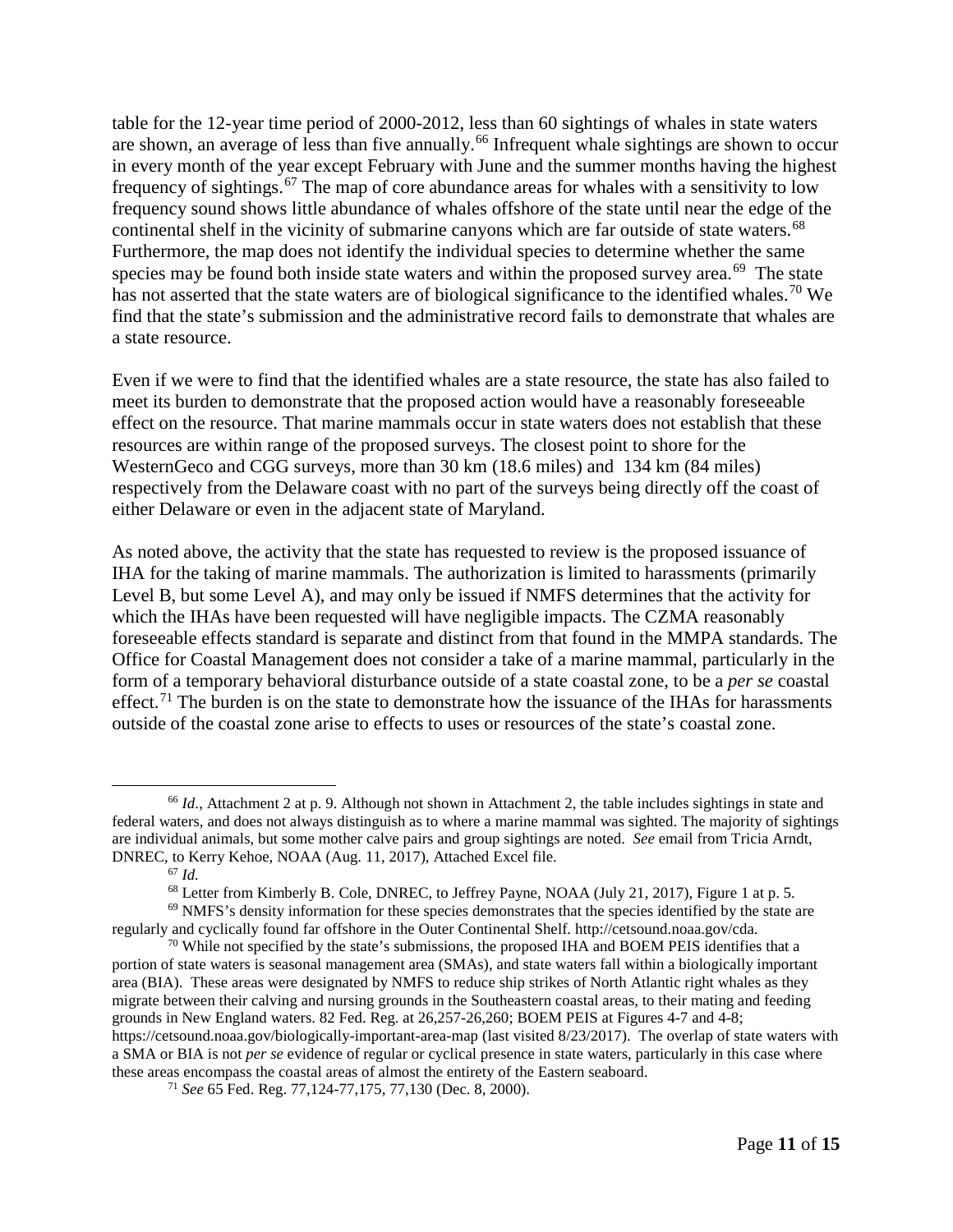table for the 12-year time period of 2000-2012, less than 60 sightings of whales in state waters are shown, an average of less than five annually.<sup>[66](#page-10-0)</sup> Infrequent whale sightings are shown to occur in every month of the year except February with June and the summer months having the highest frequency of sightings.<sup>[67](#page-10-1)</sup> The map of core abundance areas for whales with a sensitivity to low frequency sound shows little abundance of whales offshore of the state until near the edge of the continental shelf in the vicinity of submarine canyons which are far outside of state waters.<sup>[68](#page-10-2)</sup> Furthermore, the map does not identify the individual species to determine whether the same species may be found both inside state waters and within the proposed survey area.<sup>[69](#page-10-3)</sup> The state has not asserted that the state waters are of biological significance to the identified whales.<sup>[70](#page-10-4)</sup> We find that the state's submission and the administrative record fails to demonstrate that whales are a state resource.

Even if we were to find that the identified whales are a state resource, the state has also failed to meet its burden to demonstrate that the proposed action would have a reasonably foreseeable effect on the resource. That marine mammals occur in state waters does not establish that these resources are within range of the proposed surveys. The closest point to shore for the WesternGeco and CGG surveys, more than 30 km (18.6 miles) and 134 km (84 miles) respectively from the Delaware coast with no part of the surveys being directly off the coast of either Delaware or even in the adjacent state of Maryland.

As noted above, the activity that the state has requested to review is the proposed issuance of IHA for the taking of marine mammals. The authorization is limited to harassments (primarily Level B, but some Level A), and may only be issued if NMFS determines that the activity for which the IHAs have been requested will have negligible impacts. The CZMA reasonably foreseeable effects standard is separate and distinct from that found in the MMPA standards. The Office for Coastal Management does not consider a take of a marine mammal, particularly in the form of a temporary behavioral disturbance outside of a state coastal zone, to be a *per se* coastal effect.<sup>[71](#page-10-5)</sup> The burden is on the state to demonstrate how the issuance of the IHAs for harassments outside of the coastal zone arise to effects to uses or resources of the state's coastal zone.

<span id="page-10-0"></span><sup>&</sup>lt;sup>66</sup> *Id.*, Attachment 2 at p. 9. Although not shown in Attachment 2, the table includes sightings in state and federal waters, and does not always distinguish as to where a marine mammal was sighted. The majority of sightings are individual animals, but some mother calve pairs and group sightings are noted. *See* email from Tricia Arndt, DNREC, to Kerry Kehoe, NOAA (Aug. 11, 2017), Attached Excel file.

<sup>67</sup> *Id.*

<sup>&</sup>lt;sup>68</sup> Letter from Kimberly B. Cole, DNREC, to Jeffrey Payne, NOAA (July 21, 2017), Figure 1 at p. 5.

<span id="page-10-3"></span><span id="page-10-2"></span><span id="page-10-1"></span> $69$  NMFS's density information for these species demonstrates that the species identified by the state are regularly and cyclically found far offshore in the Outer Continental Shelf. http://cetsound.noaa.gov/cda.

<span id="page-10-4"></span> $70$  While not specified by the state's submissions, the proposed IHA and BOEM PEIS identifies that a portion of state waters is seasonal management area (SMAs), and state waters fall within a biologically important area (BIA). These areas were designated by NMFS to reduce ship strikes of North Atlantic right whales as they migrate between their calving and nursing grounds in the Southeastern coastal areas, to their mating and feeding grounds in New England waters. 82 Fed. Reg. at 26,257-26,260; BOEM PEIS at Figures 4-7 and 4-8; https://cetsound.noaa.gov/biologically-important-area-map (last visited 8/23/2017). The overlap of state waters with a SMA or BIA is not *per se* evidence of regular or cyclical presence in state waters, particularly in this case where these areas encompass the coastal areas of almost the entirety of the Eastern seaboard.<br><sup>71</sup> *See* 65 Fed. Reg. 77,124-77,175, 77,130 (Dec. 8, 2000).

<span id="page-10-5"></span>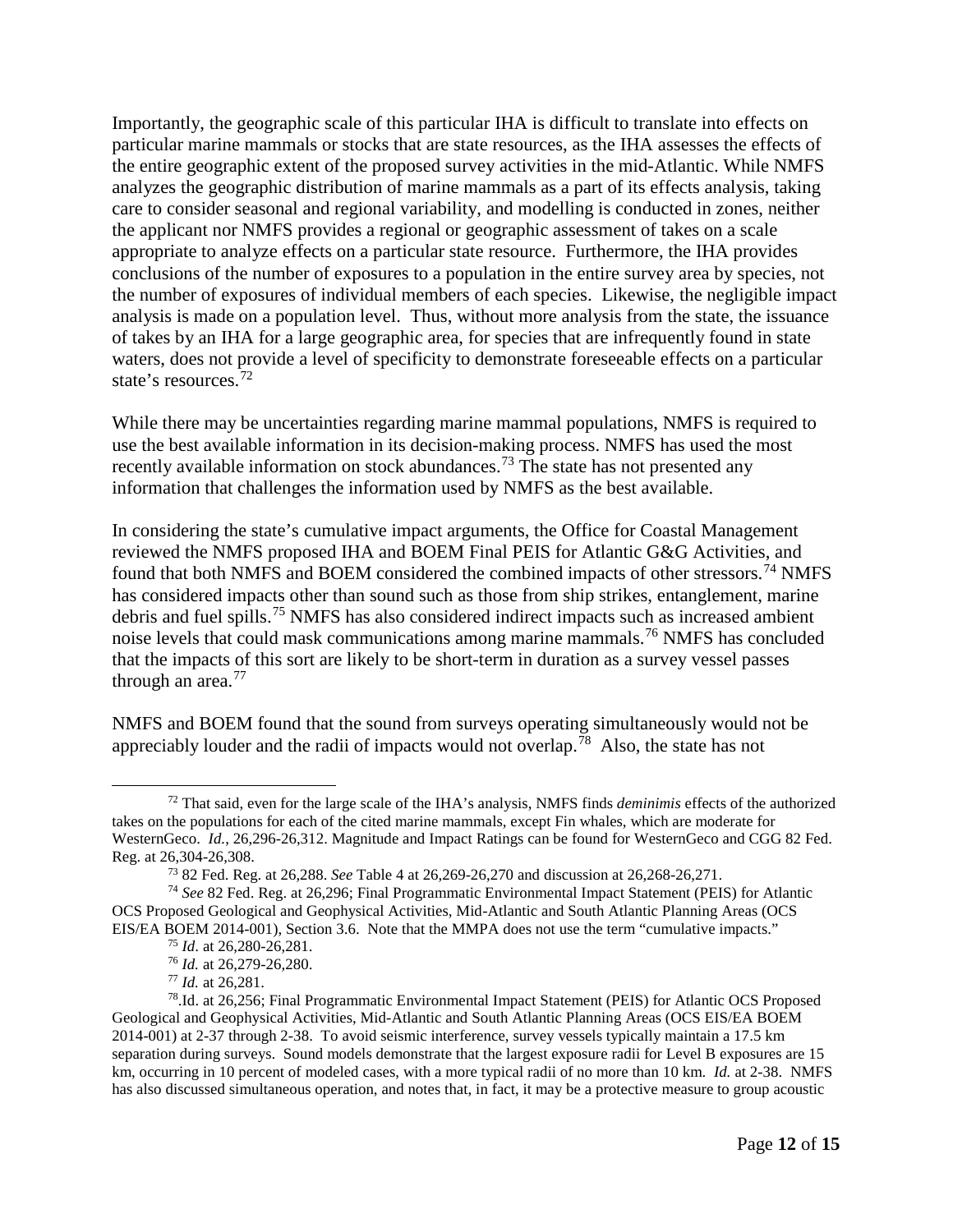Importantly, the geographic scale of this particular IHA is difficult to translate into effects on particular marine mammals or stocks that are state resources, as the IHA assesses the effects of the entire geographic extent of the proposed survey activities in the mid-Atlantic. While NMFS analyzes the geographic distribution of marine mammals as a part of its effects analysis, taking care to consider seasonal and regional variability, and modelling is conducted in zones, neither the applicant nor NMFS provides a regional or geographic assessment of takes on a scale appropriate to analyze effects on a particular state resource. Furthermore, the IHA provides conclusions of the number of exposures to a population in the entire survey area by species, not the number of exposures of individual members of each species. Likewise, the negligible impact analysis is made on a population level. Thus, without more analysis from the state, the issuance of takes by an IHA for a large geographic area, for species that are infrequently found in state waters, does not provide a level of specificity to demonstrate foreseeable effects on a particular state's resources.<sup>[72](#page-11-0)</sup>

While there may be uncertainties regarding marine mammal populations, NMFS is required to use the best available information in its decision-making process. NMFS has used the most recently available information on stock abundances.<sup>[73](#page-11-1)</sup> The state has not presented any information that challenges the information used by NMFS as the best available.

In considering the state's cumulative impact arguments, the Office for Coastal Management reviewed the NMFS proposed IHA and BOEM Final PEIS for Atlantic G&G Activities, and found that both NMFS and BOEM considered the combined impacts of other stressors.<sup>[74](#page-11-2)</sup> NMFS has considered impacts other than sound such as those from ship strikes, entanglement, marine debris and fuel spills. [75](#page-11-3) NMFS has also considered indirect impacts such as increased ambient noise levels that could mask communications among marine mammals.[76](#page-11-4) NMFS has concluded that the impacts of this sort are likely to be short-term in duration as a survey vessel passes through an area. $77$ 

NMFS and BOEM found that the sound from surveys operating simultaneously would not be appreciably louder and the radii of impacts would not overlap.<sup>[78](#page-11-6)</sup> Also, the state has not

<span id="page-11-0"></span> <sup>72</sup> That said, even for the large scale of the IHA's analysis, NMFS finds *deminimis* effects of the authorized takes on the populations for each of the cited marine mammals, except Fin whales, which are moderate for WesternGeco. *Id.*, 26,296-26,312. Magnitude and Impact Ratings can be found for WesternGeco and CGG 82 Fed. Reg. at 26,304-26,308.

<sup>73</sup> 82 Fed. Reg. at 26,288. *See* Table 4 at 26,269-26,270 and discussion at 26,268-26,271.

<span id="page-11-3"></span><span id="page-11-2"></span><span id="page-11-1"></span><sup>74</sup> *See* 82 Fed. Reg. at 26,296; Final Programmatic Environmental Impact Statement (PEIS) for Atlantic OCS Proposed Geological and Geophysical Activities, Mid-Atlantic and South Atlantic Planning Areas (OCS EIS/EA BOEM 2014-001), Section 3.6. Note that the MMPA does not use the term "cumulative impacts."

<sup>75</sup> *Id*. at 26,280-26,281.

<sup>76</sup> *Id.* at 26,279-26,280.

<sup>77</sup> *Id.* at 26,281.

<span id="page-11-6"></span><span id="page-11-5"></span><span id="page-11-4"></span><sup>78.</sup>Id. at 26,256; Final Programmatic Environmental Impact Statement (PEIS) for Atlantic OCS Proposed Geological and Geophysical Activities, Mid-Atlantic and South Atlantic Planning Areas (OCS EIS/EA BOEM 2014-001) at 2-37 through 2-38. To avoid seismic interference, survey vessels typically maintain a 17.5 km separation during surveys. Sound models demonstrate that the largest exposure radii for Level B exposures are 15 km, occurring in 10 percent of modeled cases, with a more typical radii of no more than 10 km. *Id.* at 2-38. NMFS has also discussed simultaneous operation, and notes that, in fact, it may be a protective measure to group acoustic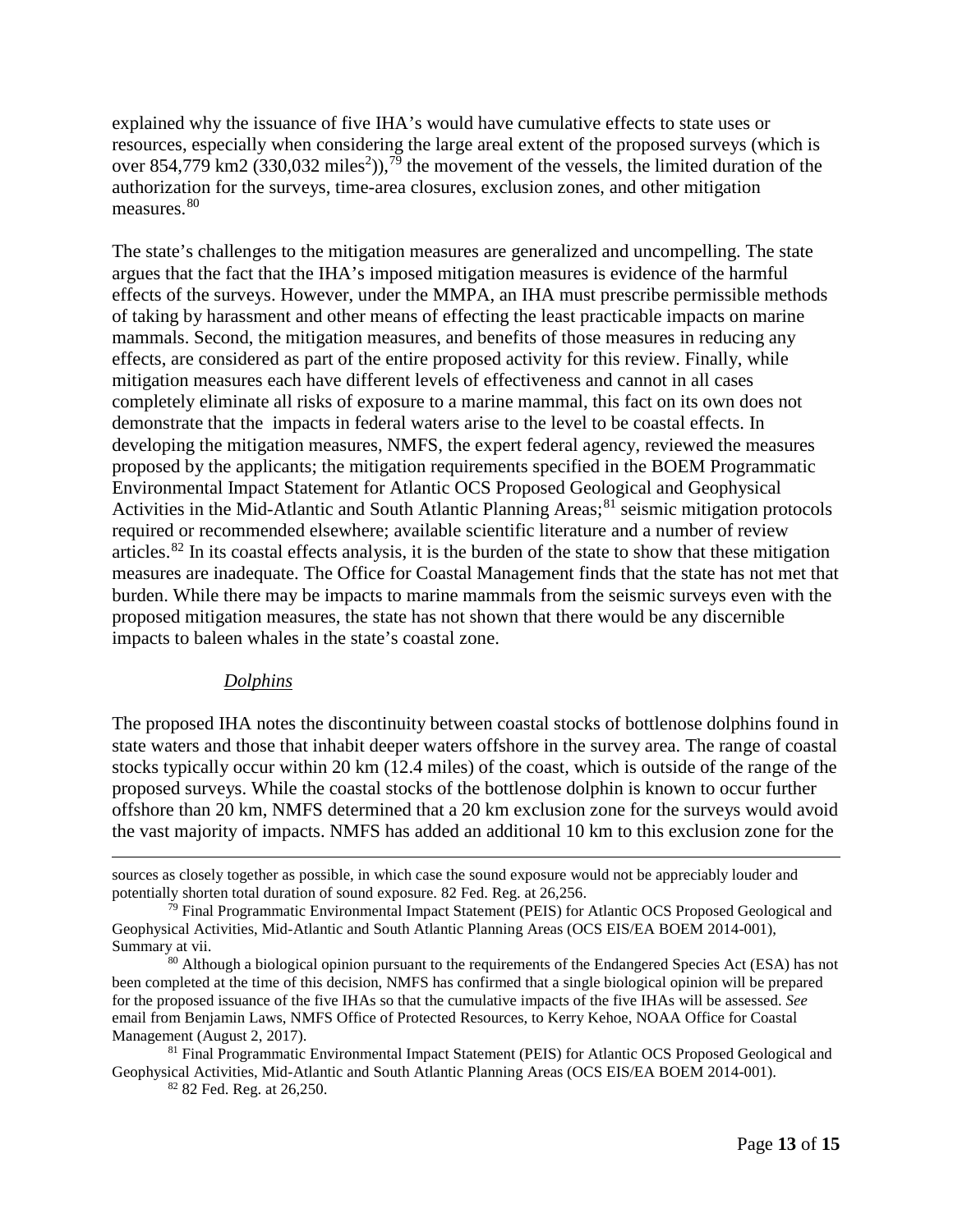explained why the issuance of five IHA's would have cumulative effects to state uses or resources, especially when considering the large areal extent of the proposed surveys (which is over 854,7[79](#page-12-0) km2 (330,032 miles<sup>2</sup>)),<sup>79</sup> the movement of the vessels, the limited duration of the authorization for the surveys, time-area closures, exclusion zones, and other mitigation measures.<sup>[80](#page-12-1)</sup>

The state's challenges to the mitigation measures are generalized and uncompelling. The state argues that the fact that the IHA's imposed mitigation measures is evidence of the harmful effects of the surveys. However, under the MMPA, an IHA must prescribe permissible methods of taking by harassment and other means of effecting the least practicable impacts on marine mammals. Second, the mitigation measures, and benefits of those measures in reducing any effects, are considered as part of the entire proposed activity for this review. Finally, while mitigation measures each have different levels of effectiveness and cannot in all cases completely eliminate all risks of exposure to a marine mammal, this fact on its own does not demonstrate that the impacts in federal waters arise to the level to be coastal effects. In developing the mitigation measures, NMFS, the expert federal agency, reviewed the measures proposed by the applicants; the mitigation requirements specified in the BOEM Programmatic Environmental Impact Statement for Atlantic OCS Proposed Geological and Geophysical Activities in the Mid-Atlantic and South Atlantic Planning Areas;<sup>[81](#page-12-2)</sup> seismic mitigation protocols required or recommended elsewhere; available scientific literature and a number of review articles.[82](#page-12-3) In its coastal effects analysis, it is the burden of the state to show that these mitigation measures are inadequate. The Office for Coastal Management finds that the state has not met that burden. While there may be impacts to marine mammals from the seismic surveys even with the proposed mitigation measures, the state has not shown that there would be any discernible impacts to baleen whales in the state's coastal zone.

#### *Dolphins*

The proposed IHA notes the discontinuity between coastal stocks of bottlenose dolphins found in state waters and those that inhabit deeper waters offshore in the survey area. The range of coastal stocks typically occur within 20 km (12.4 miles) of the coast, which is outside of the range of the proposed surveys. While the coastal stocks of the bottlenose dolphin is known to occur further offshore than 20 km, NMFS determined that a 20 km exclusion zone for the surveys would avoid the vast majority of impacts. NMFS has added an additional 10 km to this exclusion zone for the

sources as closely together as possible, in which case the sound exposure would not be appreciably louder and potentially shorten total duration of sound exposure. 82 Fed. Reg. at 26,256.

<span id="page-12-0"></span> $\bar{r}^9$  Final Programmatic Environmental Impact Statement (PEIS) for Atlantic OCS Proposed Geological and Geophysical Activities, Mid-Atlantic and South Atlantic Planning Areas (OCS EIS/EA BOEM 2014-001), Summary at vii.

<span id="page-12-1"></span><sup>&</sup>lt;sup>80</sup> Although a biological opinion pursuant to the requirements of the Endangered Species Act (ESA) has not been completed at the time of this decision, NMFS has confirmed that a single biological opinion will be prepared for the proposed issuance of the five IHAs so that the cumulative impacts of the five IHAs will be assessed. *See* email from Benjamin Laws, NMFS Office of Protected Resources, to Kerry Kehoe, NOAA Office for Coastal Management (August 2, 2017).

<span id="page-12-3"></span><span id="page-12-2"></span><sup>81</sup> Final Programmatic Environmental Impact Statement (PEIS) for Atlantic OCS Proposed Geological and Geophysical Activities, Mid-Atlantic and South Atlantic Planning Areas (OCS EIS/EA BOEM 2014-001).

<sup>82</sup> 82 Fed. Reg. at 26,250.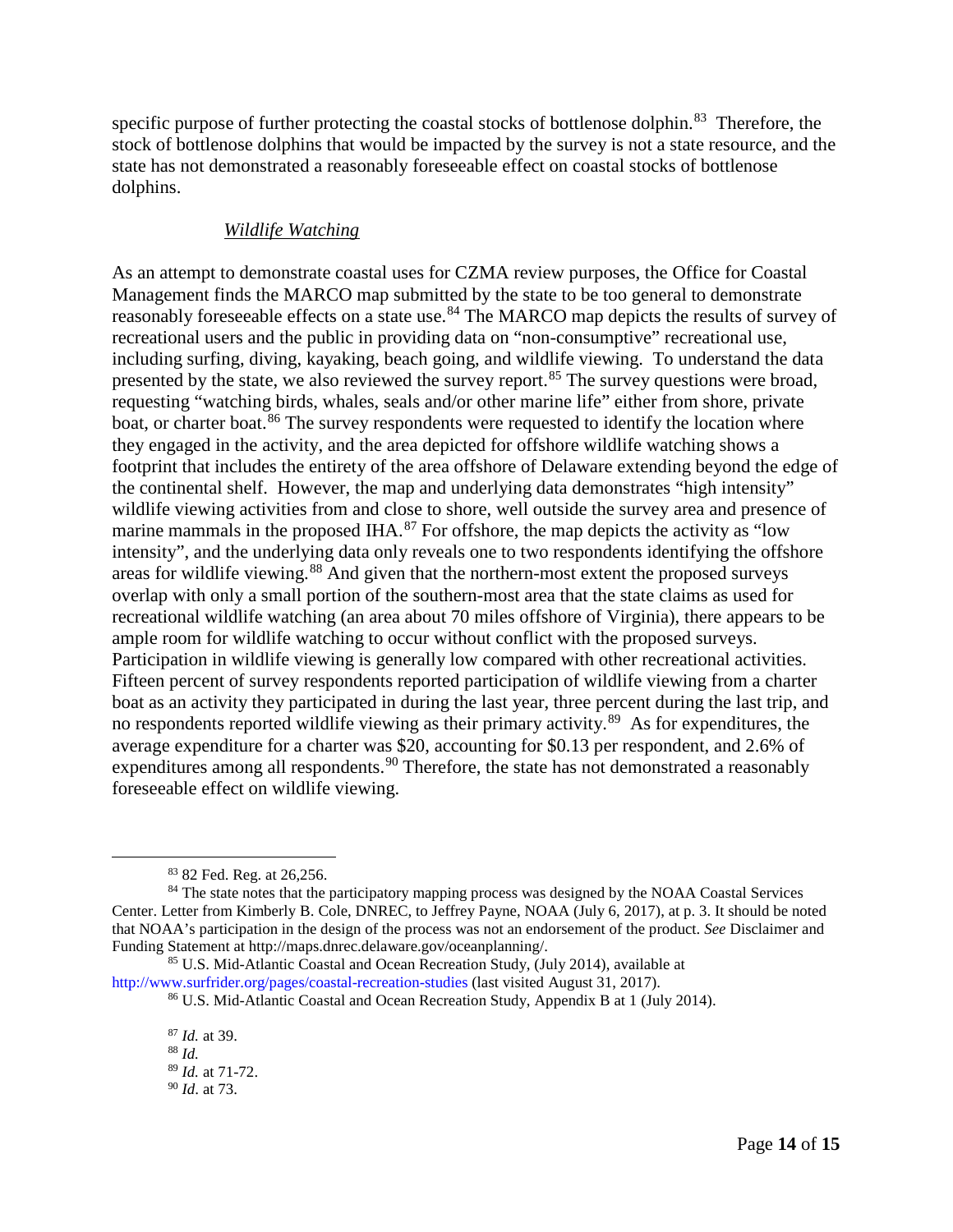specific purpose of further protecting the coastal stocks of bottlenose dolphin.<sup>[83](#page-13-0)</sup> Therefore, the stock of bottlenose dolphins that would be impacted by the survey is not a state resource, and the state has not demonstrated a reasonably foreseeable effect on coastal stocks of bottlenose dolphins.

#### *Wildlife Watching*

As an attempt to demonstrate coastal uses for CZMA review purposes, the Office for Coastal Management finds the MARCO map submitted by the state to be too general to demonstrate reasonably foreseeable effects on a state use.<sup>[84](#page-13-1)</sup> The MARCO map depicts the results of survey of recreational users and the public in providing data on "non-consumptive" recreational use, including surfing, diving, kayaking, beach going, and wildlife viewing. To understand the data presented by the state, we also reviewed the survey report.<sup>[85](#page-13-2)</sup> The survey questions were broad, requesting "watching birds, whales, seals and/or other marine life" either from shore, private boat, or charter boat.<sup>[86](#page-13-3)</sup> The survey respondents were requested to identify the location where they engaged in the activity, and the area depicted for offshore wildlife watching shows a footprint that includes the entirety of the area offshore of Delaware extending beyond the edge of the continental shelf. However, the map and underlying data demonstrates "high intensity" wildlife viewing activities from and close to shore, well outside the survey area and presence of marine mammals in the proposed IHA. $^{87}$  $^{87}$  $^{87}$  For offshore, the map depicts the activity as "low intensity", and the underlying data only reveals one to two respondents identifying the offshore areas for wildlife viewing.<sup>[88](#page-13-5)</sup> And given that the northern-most extent the proposed surveys overlap with only a small portion of the southern-most area that the state claims as used for recreational wildlife watching (an area about 70 miles offshore of Virginia), there appears to be ample room for wildlife watching to occur without conflict with the proposed surveys. Participation in wildlife viewing is generally low compared with other recreational activities. Fifteen percent of survey respondents reported participation of wildlife viewing from a charter boat as an activity they participated in during the last year, three percent during the last trip, and no respondents reported wildlife viewing as their primary activity.<sup>[89](#page-13-6)</sup> As for expenditures, the average expenditure for a charter was \$20, accounting for \$0.13 per respondent, and 2.6% of expenditures among all respondents.<sup>[90](#page-13-7)</sup> Therefore, the state has not demonstrated a reasonably foreseeable effect on wildlife viewing.

<span id="page-13-6"></span><span id="page-13-5"></span><span id="page-13-4"></span><span id="page-13-3"></span><span id="page-13-2"></span><sup>85</sup> U.S. Mid-Atlantic Coastal and Ocean Recreation Study, (July 2014), available at <http://www.surfrider.org/pages/coastal-recreation-studies> (last visited August 31, 2017).

 <sup>83</sup> 82 Fed. Reg. at 26,256.

<span id="page-13-1"></span><span id="page-13-0"></span><sup>&</sup>lt;sup>84</sup> The state notes that the participatory mapping process was designed by the NOAA Coastal Services Center. Letter from Kimberly B. Cole, DNREC, to Jeffrey Payne, NOAA (July 6, 2017), at p. 3. It should be noted that NOAA's participation in the design of the process was not an endorsement of the product. *See* Disclaimer and Funding Statement at http://maps.dnrec.delaware.gov/oceanplanning/.

<sup>86</sup> U.S. Mid-Atlantic Coastal and Ocean Recreation Study, Appendix B at 1 (July 2014).

<sup>87</sup> *Id.* at 39. <sup>88</sup> *Id.*

<sup>89</sup> *Id.* at 71-72.

<span id="page-13-7"></span><sup>90</sup> *Id*. at 73.